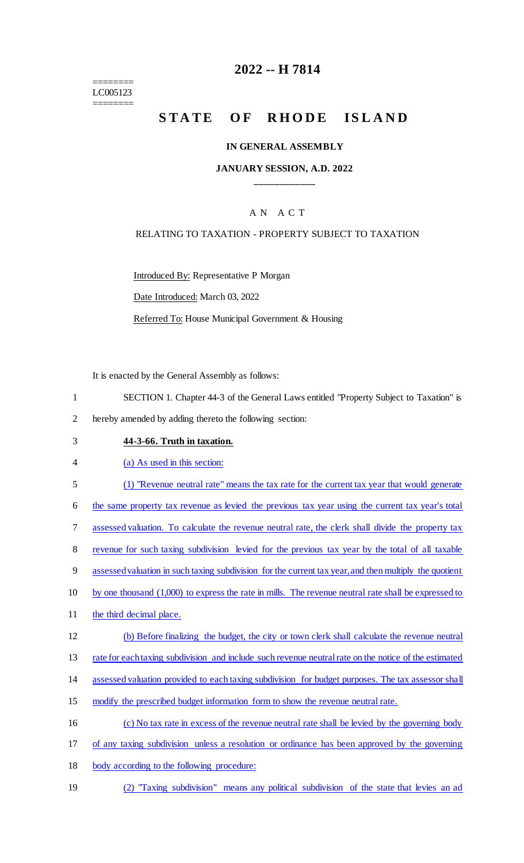======== LC005123 ========

### **2022 -- H 7814**

# STATE OF RHODE ISLAND

#### **IN GENERAL ASSEMBLY**

#### **JANUARY SESSION, A.D. 2022 \_\_\_\_\_\_\_\_\_\_\_\_**

### A N A C T

#### RELATING TO TAXATION - PROPERTY SUBJECT TO TAXATION

Introduced By: Representative P Morgan

Date Introduced: March 03, 2022

Referred To: House Municipal Government & Housing

It is enacted by the General Assembly as follows:

- 1 SECTION 1. Chapter 44-3 of the General Laws entitled "Property Subject to Taxation" is
- 2 hereby amended by adding thereto the following section:
- 

## 3 **44-3-66. Truth in taxation.**

- 4 (a) As used in this section:
- 5 (1) "Revenue neutral rate" means the tax rate for the current tax year that would generate

6 the same property tax revenue as levied the previous tax year using the current tax year's total

7 assessed valuation. To calculate the revenue neutral rate, the clerk shall divide the property tax

- 8 revenue for such taxing subdivision levied for the previous tax year by the total of all taxable
- 9 assessed valuation in such taxing subdivision for the current tax year, and then multiply the quotient
- 10 by one thousand (1,000) to express the rate in mills. The revenue neutral rate shall be expressed to
- 11 the third decimal place.
- 12 (b) Before finalizing the budget, the city or town clerk shall calculate the revenue neutral

13 rate for each taxing subdivision and include such revenue neutral rate on the notice of the estimated

14 assessed valuation provided to each taxing subdivision for budget purposes. The tax assessor shall

- 15 modify the prescribed budget information form to show the revenue neutral rate.
- 16 (c) No tax rate in excess of the revenue neutral rate shall be levied by the governing body
- 17 of any taxing subdivision unless a resolution or ordinance has been approved by the governing
- 18 body according to the following procedure:
- 19 (2) "Taxing subdivision" means any political subdivision of the state that levies an ad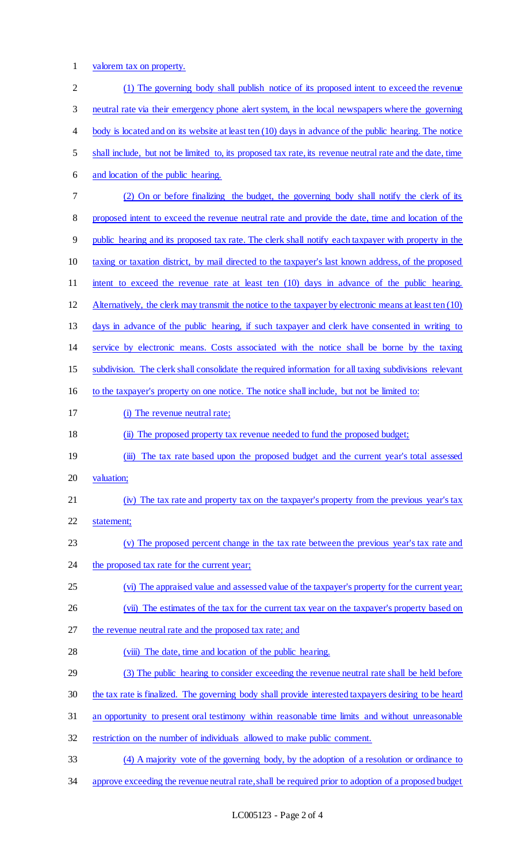1 valorem tax on property.

| $\mathbf{2}$             | (1) The governing body shall publish notice of its proposed intent to exceed the revenue                       |
|--------------------------|----------------------------------------------------------------------------------------------------------------|
| 3                        | neutral rate via their emergency phone alert system, in the local newspapers where the governing               |
| $\overline{\mathcal{A}}$ | body is located and on its website at least ten (10) days in advance of the public hearing. The notice         |
| 5                        | shall include, but not be limited to, its proposed tax rate, its revenue neutral rate and the date, time       |
| 6                        | and location of the public hearing.                                                                            |
| $\tau$                   | (2) On or before finalizing the budget, the governing body shall notify the clerk of its                       |
| 8                        | proposed intent to exceed the revenue neutral rate and provide the date, time and location of the              |
| 9                        | public hearing and its proposed tax rate. The clerk shall notify each taxpayer with property in the            |
| 10                       | taxing or taxation district, by mail directed to the taxpayer's last known address, of the proposed            |
| 11                       | intent to exceed the revenue rate at least ten (10) days in advance of the public hearing.                     |
| 12                       | Alternatively, the clerk may transmit the notice to the taxpayer by electronic means at least ten (10)         |
| 13                       | days in advance of the public hearing, if such taxpayer and clerk have consented in writing to                 |
| 14                       | service by electronic means. Costs associated with the notice shall be borne by the taxing                     |
| 15                       | subdivision. The clerk shall consolidate the required information for all taxing subdivisions relevant         |
| 16                       | to the taxpayer's property on one notice. The notice shall include, but not be limited to:                     |
| 17                       | (i) The revenue neutral rate;                                                                                  |
| 18                       | (ii) The proposed property tax revenue needed to fund the proposed budget;                                     |
| 19                       | The tax rate based upon the proposed budget and the current year's total assessed<br>$\overline{(\mathbf{m})}$ |
| 20                       | valuation;                                                                                                     |
| 21                       | (iv) The tax rate and property tax on the taxpayer's property from the previous year's tax                     |
| 22                       | statement;                                                                                                     |
| 23                       | (v) The proposed percent change in the tax rate between the previous year's tax rate and                       |
| 24                       | the proposed tax rate for the current year;                                                                    |
| 25                       | (vi) The appraised value and assessed value of the taxpayer's property for the current year;                   |
| 26                       | (vii) The estimates of the tax for the current tax year on the taxpayer's property based on                    |
| 27                       | the revenue neutral rate and the proposed tax rate; and                                                        |
| 28                       | (viii) The date, time and location of the public hearing.                                                      |
| 29                       | (3) The public hearing to consider exceeding the revenue neutral rate shall be held before                     |
| 30                       | the tax rate is finalized. The governing body shall provide interested taxpayers desiring to be heard          |
| 31                       | an opportunity to present oral testimony within reasonable time limits and without unreasonable                |
| 32                       | restriction on the number of individuals allowed to make public comment.                                       |
| 33                       | (4) A majority vote of the governing body, by the adoption of a resolution or ordinance to                     |
| 34                       | approve exceeding the revenue neutral rate, shall be required prior to adoption of a proposed budget           |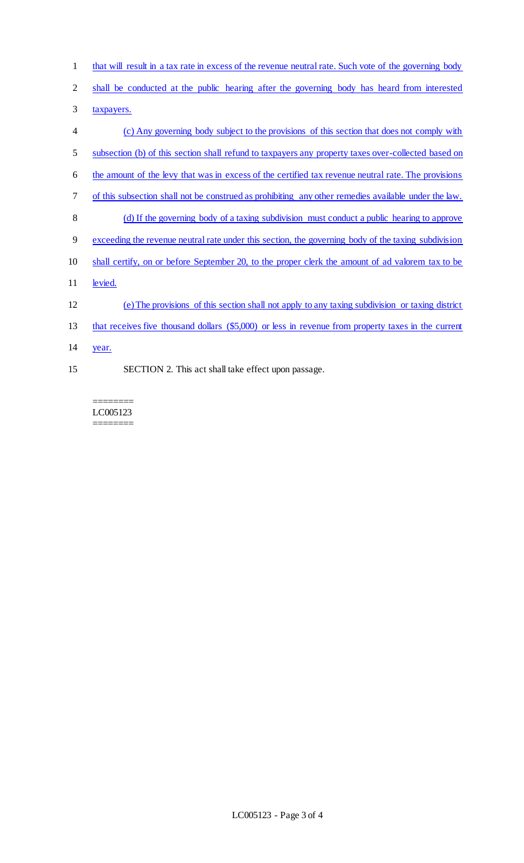- that will result in a tax rate in excess of the revenue neutral rate. Such vote of the governing body
- shall be conducted at the public hearing after the governing body has heard from interested
- 3 taxpayers.
- (c) Any governing body subject to the provisions of this section that does not comply with subsection (b) of this section shall refund to taxpayers any property taxes over-collected based on the amount of the levy that was in excess of the certified tax revenue neutral rate. The provisions of this subsection shall not be construed as prohibiting any other remedies available under the law. (d) If the governing body of a taxing subdivision must conduct a public hearing to approve exceeding the revenue neutral rate under this section, the governing body of the taxing subdivision shall certify, on or before September 20, to the proper clerk the amount of ad valorem tax to be 11 levied. (e) The provisions of this section shall not apply to any taxing subdivision or taxing district that receives five thousand dollars (\$5,000) or less in revenue from property taxes in the current year. SECTION 2. This act shall take effect upon passage.

======== LC005123 ========